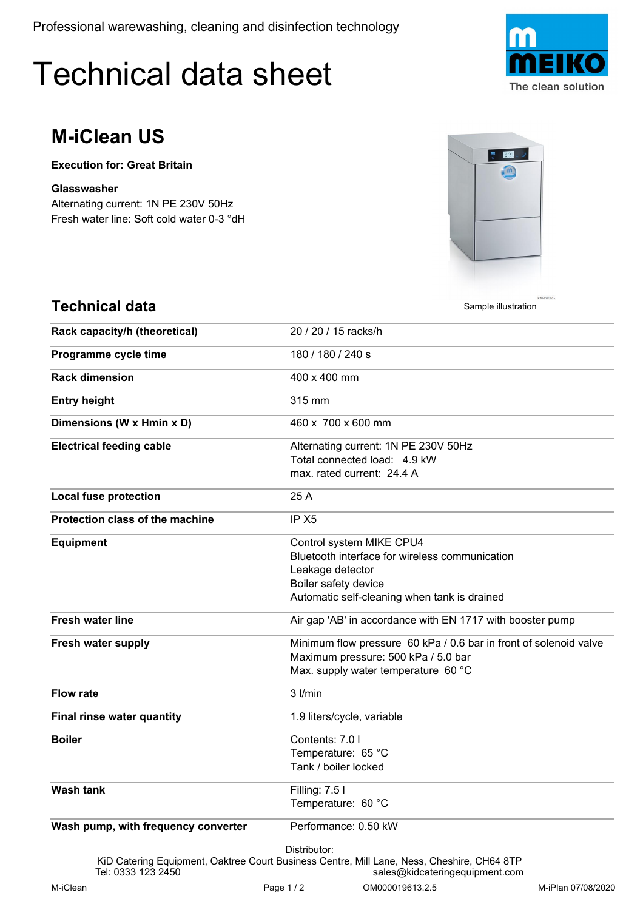Professional warewashing, cleaning and disinfection technology

## Technical data sheet



## **M-iClean US**

**Technical data**

**Execution for: Great Britain**

## **Glasswasher**

Fresh water line: Soft cold water 0-3 °dH Alternating current: 1N PE 230V 50Hz



Sample illustration

| Rack capacity/h (theoretical)       | 20 / 20 / 15 racks/h                                                                                                                                                   |
|-------------------------------------|------------------------------------------------------------------------------------------------------------------------------------------------------------------------|
| Programme cycle time                | 180 / 180 / 240 s                                                                                                                                                      |
| <b>Rack dimension</b>               | 400 x 400 mm                                                                                                                                                           |
| <b>Entry height</b>                 | 315 mm                                                                                                                                                                 |
| Dimensions (W x Hmin x D)           | 460 x 700 x 600 mm                                                                                                                                                     |
| <b>Electrical feeding cable</b>     | Alternating current: 1N PE 230V 50Hz<br>Total connected load: 4.9 kW<br>max. rated current: 24.4 A                                                                     |
| <b>Local fuse protection</b>        | 25 A                                                                                                                                                                   |
| Protection class of the machine     | IP X <sub>5</sub>                                                                                                                                                      |
| <b>Equipment</b>                    | Control system MIKE CPU4<br>Bluetooth interface for wireless communication<br>Leakage detector<br>Boiler safety device<br>Automatic self-cleaning when tank is drained |
| <b>Fresh water line</b>             | Air gap 'AB' in accordance with EN 1717 with booster pump                                                                                                              |
| <b>Fresh water supply</b>           | Minimum flow pressure 60 kPa / 0.6 bar in front of solenoid valve<br>Maximum pressure: 500 kPa / 5.0 bar<br>Max. supply water temperature 60 °C                        |
| <b>Flow rate</b>                    | $3$ $l/min$                                                                                                                                                            |
| Final rinse water quantity          | 1.9 liters/cycle, variable                                                                                                                                             |
| <b>Boiler</b>                       | Contents: 7.0 l<br>Temperature: 65 °C<br>Tank / boiler locked                                                                                                          |
| <b>Wash tank</b>                    | Filling: 7.5 l<br>Temperature: 60 °C                                                                                                                                   |
| Wash pump, with frequency converter | Performance: 0.50 kW<br>Distributor:<br>KiD Catering Equipment, Oaktree Court Business Centre, Mill Lane, Ness, Cheshire, CH64 8TP                                     |
| Tel: 0333 123 2450                  | sales@kidcateringequipment.com                                                                                                                                         |